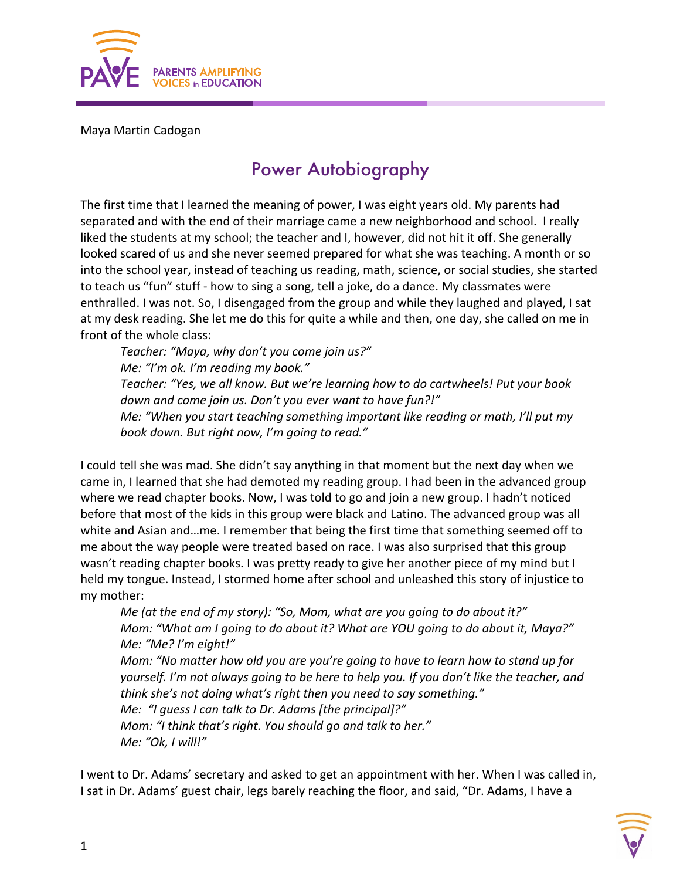

## Maya Martin Cadogan

## Power Autobiography

The first time that I learned the meaning of power, I was eight years old. My parents had separated and with the end of their marriage came a new neighborhood and school. I really liked the students at my school; the teacher and I, however, did not hit it off. She generally looked scared of us and she never seemed prepared for what she was teaching. A month or so into the school year, instead of teaching us reading, math, science, or social studies, she started to teach us "fun" stuff - how to sing a song, tell a joke, do a dance. My classmates were enthralled. I was not. So, I disengaged from the group and while they laughed and played, I sat at my desk reading. She let me do this for quite a while and then, one day, she called on me in front of the whole class:

*Teacher: "Maya, why don't you come join us?" Me: "I'm ok. I'm reading my book." Teacher: "Yes, we all know. But we're learning how to do cartwheels! Put your book down and come join us. Don't you ever want to have fun?!" Me: "When you start teaching something important like reading or math, I'll put my book down. But right now, I'm going to read."*

I could tell she was mad. She didn't say anything in that moment but the next day when we came in, I learned that she had demoted my reading group. I had been in the advanced group where we read chapter books. Now, I was told to go and join a new group. I hadn't noticed before that most of the kids in this group were black and Latino. The advanced group was all white and Asian and…me. I remember that being the first time that something seemed off to me about the way people were treated based on race. I was also surprised that this group wasn't reading chapter books. I was pretty ready to give her another piece of my mind but I held my tongue. Instead, I stormed home after school and unleashed this story of injustice to my mother:

*Me (at the end of my story): "So, Mom, what are you going to do about it?" Mom: "What am I going to do about it? What are YOU going to do about it, Maya?" Me: "Me? I'm eight!" Mom: "No matter how old you are you're going to have to learn how to stand up for yourself. I'm not always going to be here to help you. If you don't like the teacher, and think she's not doing what's right then you need to say something." Me: "I guess I can talk to Dr. Adams [the principal]?" Mom: "I think that's right. You should go and talk to her." Me: "Ok, I will!"*

I went to Dr. Adams' secretary and asked to get an appointment with her. When I was called in, I sat in Dr. Adams' guest chair, legs barely reaching the floor, and said, "Dr. Adams, I have a